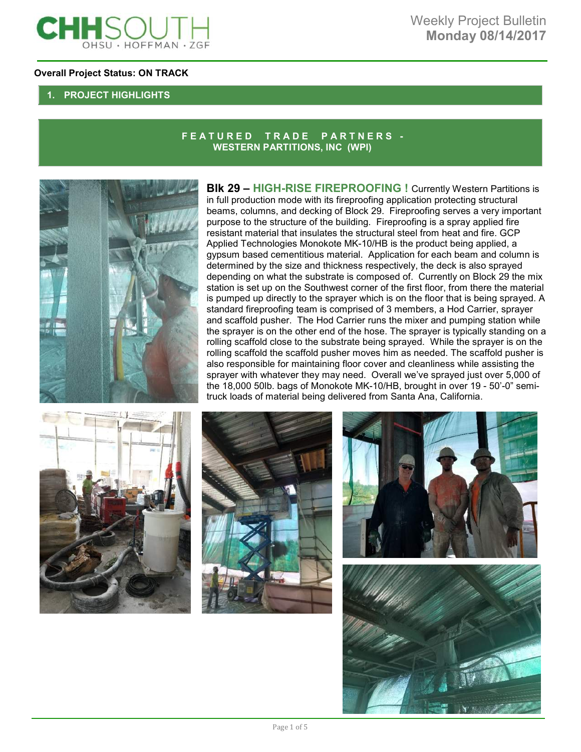

### **Overall Project Status: ON TRACK**

## **1. PROJECT HIGHLIGHTS**

### **F E A T U R E D T R A D E P A R T N E R S - WESTERN PARTITIONS, INC (WPI)**



**BIk 29 - HIGH-RISE FIREPROOFING !** Currently Western Partitions is in full production mode with its fireproofing application protecting structural beams, columns, and decking of Block 29. Fireproofing serves a very important purpose to the structure of the building. Fireproofing is a spray applied fire resistant material that insulates the structural steel from heat and fire. GCP Applied Technologies Monokote MK-10/HB is the product being applied, a gypsum based cementitious material. Application for each beam and column is determined by the size and thickness respectively, the deck is also sprayed depending on what the substrate is composed of. Currently on Block 29 the mix station is set up on the Southwest corner of the first floor, from there the material is pumped up directly to the sprayer which is on the floor that is being sprayed. A standard fireproofing team is comprised of 3 members, a Hod Carrier, sprayer and scaffold pusher. The Hod Carrier runs the mixer and pumping station while the sprayer is on the other end of the hose. The sprayer is typically standing on a rolling scaffold close to the substrate being sprayed. While the sprayer is on the rolling scaffold the scaffold pusher moves him as needed. The scaffold pusher is also responsible for maintaining floor cover and cleanliness while assisting the sprayer with whatever they may need. Overall we've sprayed just over 5,000 of the 18,000 50lb. bags of Monokote MK-10/HB, brought in over 19 - 50'-0" semitruck loads of material being delivered from Santa Ana, California.







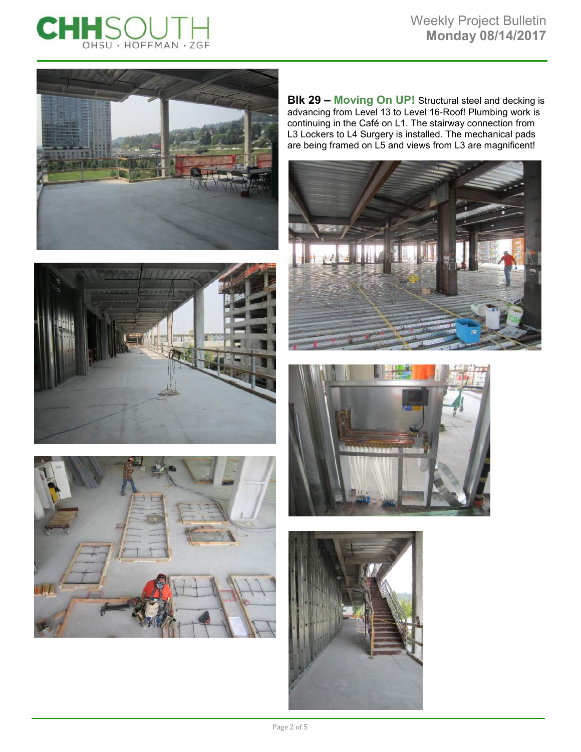









**Blk 29 – Moving On UP!** Structural steel and decking is advancing from Level 13 to Level 16-Roof! Plumbing work is continuing in the Café on L1. The stairway connection from L3 Lockers to L4 Surgery is installed. The mechanical pads are being framed on L5 and views from L3 are magnificent!





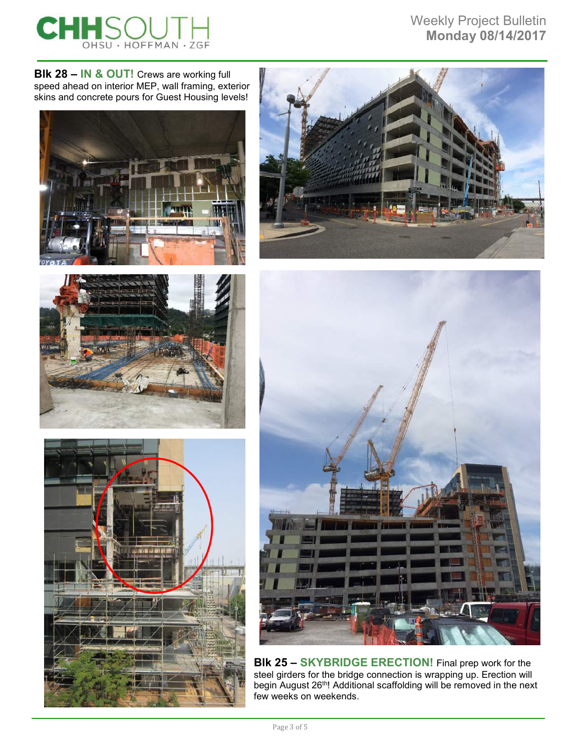

Weekly Project Bulletin **Monday 08/14/2017** 

**Blk 28 – IN & OUT!** Crews are working full speed ahead on interior MEP, wall framing, exterior skins and concrete pours for Guest Housing levels!











**Blk 25 – SKYBRIDGE ERECTION!** Final prep work for the steel girders for the bridge connection is wrapping up. Erection will begin August 26<sup>th</sup>! Additional scaffolding will be removed in the next few weeks on weekends.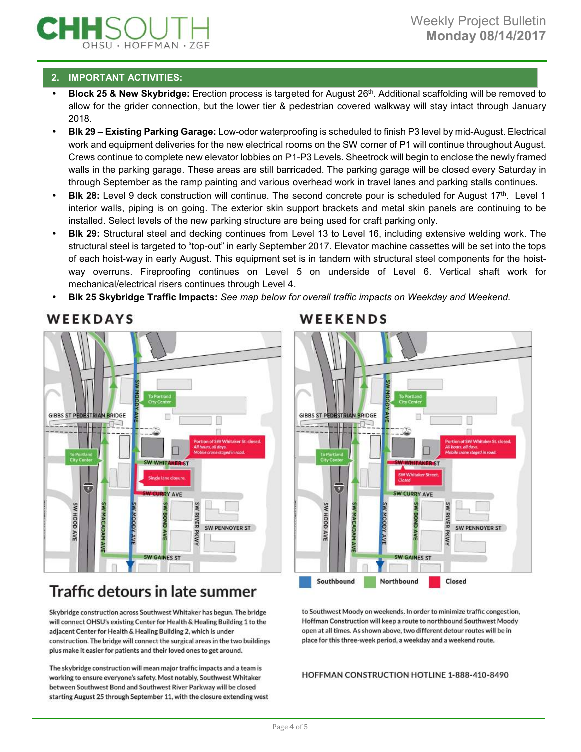## **2. IMPORTANT ACTIVITIES:**

- **Block 25 & New Skybridge:** Erection process is targeted for August 26<sup>th</sup>. Additional scaffolding will be removed to allow for the grider connection, but the lower tier & pedestrian covered walkway will stay intact through January 2018.
- **Blk 29 Existing Parking Garage:** Low-odor waterproofing is scheduled to finish P3 level by mid-August. Electrical work and equipment deliveries for the new electrical rooms on the SW corner of P1 will continue throughout August. Crews continue to complete new elevator lobbies on P1-P3 Levels. Sheetrock will begin to enclose the newly framed walls in the parking garage. These areas are still barricaded. The parking garage will be closed every Saturday in through September as the ramp painting and various overhead work in travel lanes and parking stalls continues.
- **Blk 28:** Level 9 deck construction will continue. The second concrete pour is scheduled for August 17th. Level 1 interior walls, piping is on going. The exterior skin support brackets and metal skin panels are continuing to be installed. Select levels of the new parking structure are being used for craft parking only.
- **Blk 29:** Structural steel and decking continues from Level 13 to Level 16, including extensive welding work. The structural steel is targeted to "top-out" in early September 2017. Elevator machine cassettes will be set into the tops of each hoist-way in early August. This equipment set is in tandem with structural steel components for the hoistway overruns. Fireproofing continues on Level 5 on underside of Level 6. Vertical shaft work for mechanical/electrical risers continues through Level 4.
- **Blk 25 Skybridge Traffic Impacts:** *See map below for overall traffic impacts on Weekday and Weekend.*



# WEEKDAYS

# Traffic detours in late summer

Skybridge construction across Southwest Whitaker has begun. The bridge will connect OHSU's existing Center for Health & Healing Building 1 to the adjacent Center for Health & Healing Building 2, which is under construction. The bridge will connect the surgical areas in the two buildings plus make it easier for patients and their loved ones to get around.

The skybridge construction will mean major traffic impacts and a team is working to ensure everyone's safety. Most notably, Southwest Whitaker between Southwest Bond and Southwest River Parkway will be closed starting August 25 through September 11, with the closure extending west

# WEEKENDS



to Southwest Moody on weekends. In order to minimize traffic congestion, Hoffman Construction will keep a route to northbound Southwest Moody open at all times. As shown above, two different detour routes will be in place for this three-week period, a weekday and a weekend route.

HOFFMAN CONSTRUCTION HOTLINE 1-888-410-8490